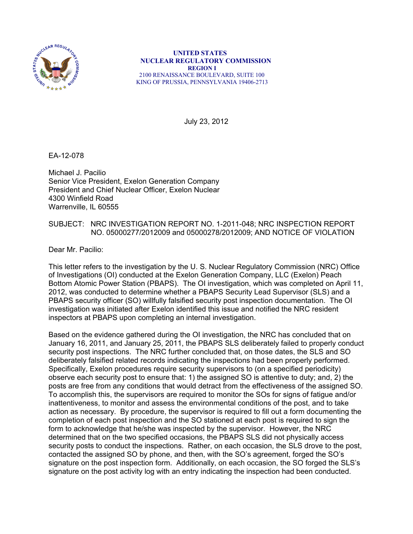

 **UNITED STATES NUCLEAR REGULATORY COMMISSION REGION I**  2100 RENAISSANCE BOULEVARD, SUITE 100 KING OF PRUSSIA, PENNSYLVANIA 19406-2713

July 23, 2012

EA-12-078

Michael J. Pacilio Senior Vice President, Exelon Generation Company President and Chief Nuclear Officer, Exelon Nuclear 4300 Winfield Road Warrenville, IL 60555

## SUBJECT: NRC INVESTIGATION REPORT NO. 1-2011-048; NRC INSPECTION REPORT NO. 05000277/2012009 and 05000278/2012009; AND NOTICE OF VIOLATION

Dear Mr. Pacilio:

This letter refers to the investigation by the U. S. Nuclear Regulatory Commission (NRC) Office of Investigations (OI) conducted at the Exelon Generation Company, LLC (Exelon) Peach Bottom Atomic Power Station (PBAPS). The OI investigation, which was completed on April 11, 2012, was conducted to determine whether a PBAPS Security Lead Supervisor (SLS) and a PBAPS security officer (SO) willfully falsified security post inspection documentation. The OI investigation was initiated after Exelon identified this issue and notified the NRC resident inspectors at PBAPS upon completing an internal investigation.

Based on the evidence gathered during the OI investigation, the NRC has concluded that on January 16, 2011, and January 25, 2011, the PBAPS SLS deliberately failed to properly conduct security post inspections. The NRC further concluded that, on those dates, the SLS and SO deliberately falsified related records indicating the inspections had been properly performed. Specifically, Exelon procedures require security supervisors to (on a specified periodicity) observe each security post to ensure that: 1) the assigned SO is attentive to duty; and, 2) the posts are free from any conditions that would detract from the effectiveness of the assigned SO. To accomplish this, the supervisors are required to monitor the SOs for signs of fatigue and/or inattentiveness, to monitor and assess the environmental conditions of the post, and to take action as necessary. By procedure, the supervisor is required to fill out a form documenting the completion of each post inspection and the SO stationed at each post is required to sign the form to acknowledge that he/she was inspected by the supervisor. However, the NRC determined that on the two specified occasions, the PBAPS SLS did not physically access security posts to conduct the inspections. Rather, on each occasion, the SLS drove to the post, contacted the assigned SO by phone, and then, with the SO's agreement, forged the SO's signature on the post inspection form. Additionally, on each occasion, the SO forged the SLS's signature on the post activity log with an entry indicating the inspection had been conducted.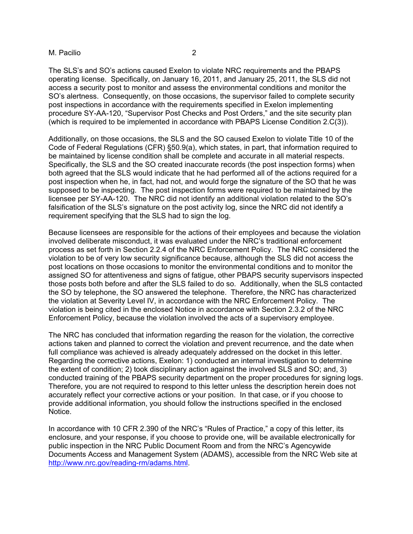The SLS's and SO's actions caused Exelon to violate NRC requirements and the PBAPS operating license. Specifically, on January 16, 2011, and January 25, 2011, the SLS did not access a security post to monitor and assess the environmental conditions and monitor the SO's alertness. Consequently, on those occasions, the supervisor failed to complete security post inspections in accordance with the requirements specified in Exelon implementing procedure SY-AA-120, "Supervisor Post Checks and Post Orders," and the site security plan (which is required to be implemented in accordance with PBAPS License Condition 2.C(3)).

Additionally, on those occasions, the SLS and the SO caused Exelon to violate Title 10 of the Code of Federal Regulations (CFR) §50.9(a), which states, in part, that information required to be maintained by license condition shall be complete and accurate in all material respects. Specifically, the SLS and the SO created inaccurate records (the post inspection forms) when both agreed that the SLS would indicate that he had performed all of the actions required for a post inspection when he, in fact, had not, and would forge the signature of the SO that he was supposed to be inspecting. The post inspection forms were required to be maintained by the licensee per SY-AA-120. The NRC did not identify an additional violation related to the SO's falsification of the SLS's signature on the post activity log, since the NRC did not identify a requirement specifying that the SLS had to sign the log.

Because licensees are responsible for the actions of their employees and because the violation involved deliberate misconduct, it was evaluated under the NRC's traditional enforcement process as set forth in Section 2.2.4 of the NRC Enforcement Policy. The NRC considered the violation to be of very low security significance because, although the SLS did not access the post locations on those occasions to monitor the environmental conditions and to monitor the assigned SO for attentiveness and signs of fatigue, other PBAPS security supervisors inspected those posts both before and after the SLS failed to do so. Additionally, when the SLS contacted the SO by telephone, the SO answered the telephone. Therefore, the NRC has characterized the violation at Severity Level IV, in accordance with the NRC Enforcement Policy. The violation is being cited in the enclosed Notice in accordance with Section 2.3.2 of the NRC Enforcement Policy, because the violation involved the acts of a supervisory employee.

The NRC has concluded that information regarding the reason for the violation, the corrective actions taken and planned to correct the violation and prevent recurrence, and the date when full compliance was achieved is already adequately addressed on the docket in this letter. Regarding the corrective actions, Exelon: 1) conducted an internal investigation to determine the extent of condition; 2) took disciplinary action against the involved SLS and SO; and, 3) conducted training of the PBAPS security department on the proper procedures for signing logs. Therefore, you are not required to respond to this letter unless the description herein does not accurately reflect your corrective actions or your position. In that case, or if you choose to provide additional information, you should follow the instructions specified in the enclosed Notice.

In accordance with 10 CFR 2.390 of the NRC's "Rules of Practice," a copy of this letter, its enclosure, and your response, if you choose to provide one, will be available electronically for public inspection in the NRC Public Document Room and from the NRC's Agencywide Documents Access and Management System (ADAMS), accessible from the NRC Web site at http://www.nrc.gov/reading-rm/adams.html.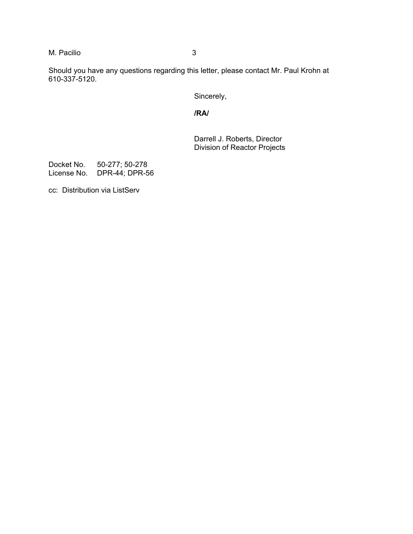Should you have any questions regarding this letter, please contact Mr. Paul Krohn at 610-337-5120.

Sincerely,

**/RA/** 

Darrell J. Roberts, Director Division of Reactor Projects

Docket No. 50-277; 50-278 License No. DPR-44; DPR-56

cc: Distribution via ListServ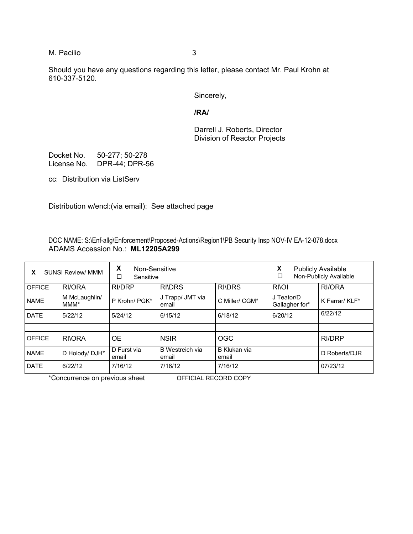Should you have any questions regarding this letter, please contact Mr. Paul Krohn at 610-337-5120.

Sincerely,

**/RA/** 

Darrell J. Roberts, Director Division of Reactor Projects

Docket No. 50-277; 50-278 License No. DPR-44; DPR-56

cc: Distribution via ListServ

Distribution w/encl:(via email): See attached page

DOC NAME: S:\Enf-allg\Enforcement\Proposed-Actions\Region1\PB Security Insp NOV-IV EA-12-078.docx ADAMS Accession No.: **ML12205A299** 

| X<br>Non-Sensitive<br><b>SUNSI Review/ MMM</b><br>x<br>□<br>Sensitive |                                   |                      |                           |                       | X<br><b>Publicly Available</b><br>Non-Publicly Available<br>$\Box$ |                |
|-----------------------------------------------------------------------|-----------------------------------|----------------------|---------------------------|-----------------------|--------------------------------------------------------------------|----------------|
| <b>OFFICE</b>                                                         | RI/ORA                            | <b>RI/DRP</b>        | <b>RI\DRS</b>             | <b>RI\DRS</b>         | <b>RIOI</b>                                                        | RI/ORA         |
| <b>NAME</b>                                                           | M McLaughlin/<br>MMM <sup>*</sup> | P Krohn/ PGK*        | J Trapp/ JMT via<br>email | C Miller/ CGM*        | J Teator/D<br>Gallagher for*                                       | K Farrar/ KLF* |
| <b>DATE</b>                                                           | 5/22/12                           | 5/24/12              | 6/15/12                   | 6/18/12               | 6/20/12                                                            | 6/22/12        |
|                                                                       |                                   |                      |                           |                       |                                                                    |                |
| <b>OFFICE</b>                                                         | <b>RIORA</b>                      | <b>OE</b>            | <b>NSIR</b>               | OGC                   |                                                                    | RI/DRP         |
| <b>NAME</b>                                                           | D Holody/ DJH*                    | D Furst via<br>email | B Westreich via<br>email  | B Klukan via<br>email |                                                                    | D Roberts/DJR  |
| <b>DATE</b>                                                           | 6/22/12                           | 7/16/12              | 7/16/12                   | 7/16/12               |                                                                    | 07/23/12       |

\*Concurrence on previous sheet OFFICIAL RECORD COPY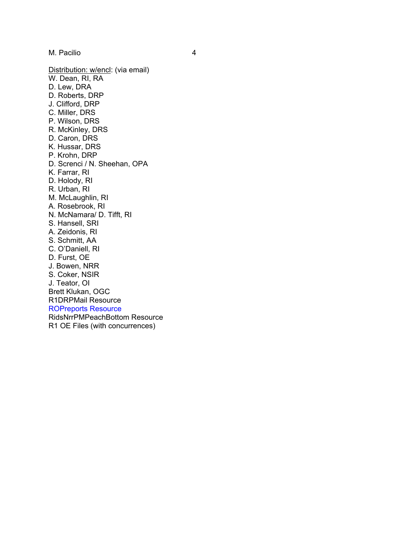Distribution: w/encl: (via email) W. Dean, RI, RA D. Lew, DRA D. Roberts, DRP J. Clifford, DRP C. Miller, DRS P. Wilson, DRS R. McKinley, DRS D. Caron, DRS K. Hussar, DRS P. Krohn, DRP D. Screnci / N. Sheehan, OPA K. Farrar, RI D. Holody, RI R. Urban, RI M. McLaughlin, RI A. Rosebrook, RI N. McNamara/ D. Tifft, RI S. Hansell, SRI A. Zeidonis, RI S. Schmitt, AA C. O'Daniell, RI D. Furst, OE J. Bowen, NRR S. Coker, NSIR J. Teator, OI Brett Klukan, OGC R1DRPMail Resource ROPreports Resource RidsNrrPMPeachBottom Resource R1 OE Files (with concurrences)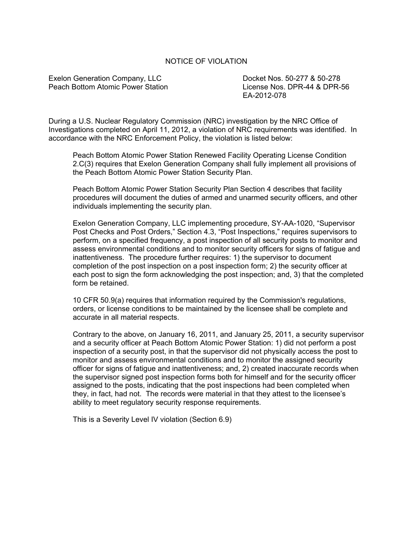## NOTICE OF VIOLATION

Exelon Generation Company, LLC Docket Nos. 50-277 & 50-278 Peach Bottom Atomic Power Station License Nos. DPR-44 & DPR-56

EA-2012-078

During a U.S. Nuclear Regulatory Commission (NRC) investigation by the NRC Office of Investigations completed on April 11, 2012, a violation of NRC requirements was identified. In accordance with the NRC Enforcement Policy, the violation is listed below:

Peach Bottom Atomic Power Station Renewed Facility Operating License Condition 2.C(3) requires that Exelon Generation Company shall fully implement all provisions of the Peach Bottom Atomic Power Station Security Plan.

Peach Bottom Atomic Power Station Security Plan Section 4 describes that facility procedures will document the duties of armed and unarmed security officers, and other individuals implementing the security plan.

Exelon Generation Company, LLC implementing procedure, SY-AA-1020, "Supervisor Post Checks and Post Orders," Section 4.3, "Post Inspections," requires supervisors to perform, on a specified frequency, a post inspection of all security posts to monitor and assess environmental conditions and to monitor security officers for signs of fatigue and inattentiveness. The procedure further requires: 1) the supervisor to document completion of the post inspection on a post inspection form; 2) the security officer at each post to sign the form acknowledging the post inspection; and, 3) that the completed form be retained.

10 CFR 50.9(a) requires that information required by the Commission's regulations, orders, or license conditions to be maintained by the licensee shall be complete and accurate in all material respects.

Contrary to the above, on January 16, 2011, and January 25, 2011, a security supervisor and a security officer at Peach Bottom Atomic Power Station: 1) did not perform a post inspection of a security post, in that the supervisor did not physically access the post to monitor and assess environmental conditions and to monitor the assigned security officer for signs of fatigue and inattentiveness; and, 2) created inaccurate records when the supervisor signed post inspection forms both for himself and for the security officer assigned to the posts, indicating that the post inspections had been completed when they, in fact, had not. The records were material in that they attest to the licensee's ability to meet regulatory security response requirements.

This is a Severity Level IV violation (Section 6.9)